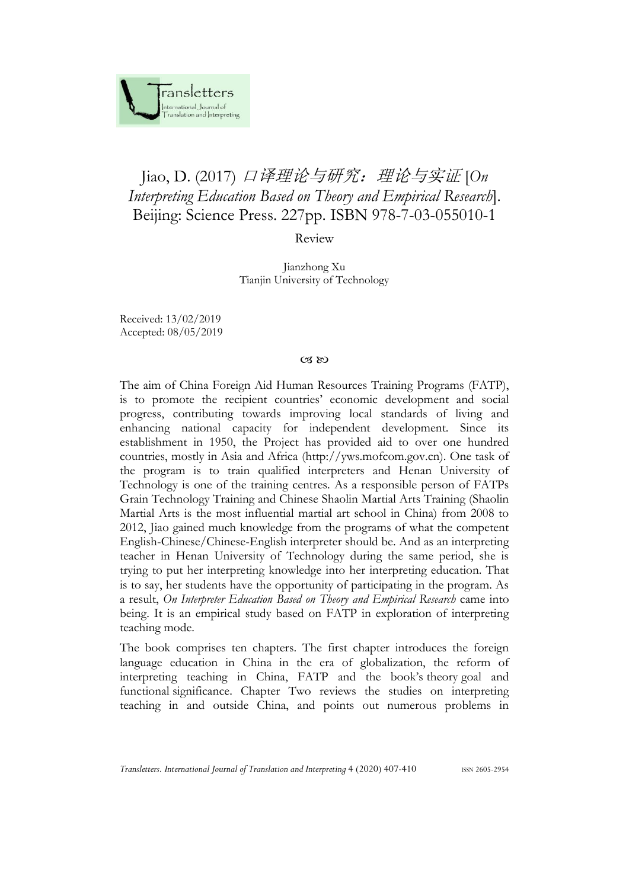

## Jiao, D. (2017) 口译理论与研究:理论与实证 [*On Interpreting Education Based on Theory and Empirical Research*]. Beijing: Science Press. 227pp. ISBN 978-7-03-055010-1

## Review

Jianzhong Xu Tianjin University of Technology

Received: 13/02/2019 Accepted: 08/05/2019

## $(X, \aleph)$

The aim of China Foreign Aid Human Resources Training Programs (FATP), is to promote the recipient countries' economic development and social progress, contributing towards improving local standards of living and enhancing national capacity for independent development. Since its establishment in 1950, the Project has provided aid to over one hundred countries, mostly in Asia and Africa (http://yws.mofcom.gov.cn). One task of the program is to train qualified interpreters and Henan University of Technology is one of the training centres. As a responsible person of FATPs Grain Technology Training and Chinese Shaolin Martial Arts Training (Shaolin Martial Arts is the most influential martial art school in China) from 2008 to 2012, Jiao gained much knowledge from the programs of what the competent English-Chinese/Chinese-English interpreter should be. And as an interpreting teacher in Henan University of Technology during the same period, she is trying to put her interpreting knowledge into her interpreting education. That is to say, her students have the opportunity of participating in the program. As a result, *On Interpreter Education Based on Theory and Empirical Research* came into being. It is an empirical study based on FATP in exploration of interpreting teaching mode.

The book comprises ten chapters. The first chapter introduces the foreign language education in China in the era of globalization, the reform of interpreting teaching in China, FATP and the book's theory goal and functional significance. Chapter Two reviews the studies on interpreting teaching in and outside China, and points out numerous problems in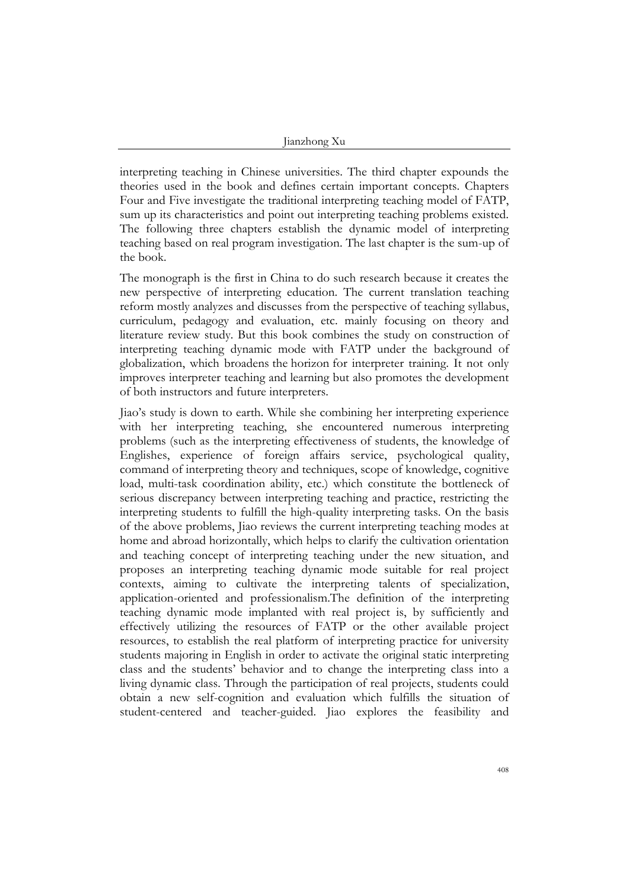interpreting teaching in Chinese universities. The third chapter expounds the theories used in the book and defines certain important concepts. Chapters Four and Five investigate the traditional interpreting teaching model of FATP, sum up its characteristics and point out interpreting teaching problems existed. The following three chapters establish the dynamic model of interpreting teaching based on real program investigation. The last chapter is the sum-up of the book.

The monograph is the first in China to do such research because it creates the new perspective of interpreting education. The current translation teaching reform mostly analyzes and discusses from the perspective of teaching syllabus, curriculum, pedagogy and evaluation, etc. mainly focusing on theory and literature review study. But this book combines the study on construction of interpreting teaching dynamic mode with FATP under the background of globalization, which broadens the horizon for interpreter training. It not only improves interpreter teaching and learning but also promotes the development of both instructors and future interpreters.

Jiao's study is down to earth. While she combining her interpreting experience with her interpreting teaching, she encountered numerous interpreting problems (such as the interpreting effectiveness of students, the knowledge of Englishes, experience of foreign affairs service, psychological quality, command of interpreting theory and techniques, scope of knowledge, cognitive load, multi-task coordination ability, etc.) which constitute the bottleneck of serious discrepancy between interpreting teaching and practice, restricting the interpreting students to fulfill the high-quality interpreting tasks. On the basis of the above problems, Jiao reviews the current interpreting teaching modes at home and abroad horizontally, which helps to clarify the cultivation orientation and teaching concept of interpreting teaching under the new situation, and proposes an interpreting teaching dynamic mode suitable for real project contexts, aiming to cultivate the interpreting talents of [specialization,](http://dict.cnki.net/dict_result.aspx?searchword=%e4%b8%93%e4%b8%9a%e5%8c%96&tjType=sentence&style=&t=specialization)  [application-oriented](http://dict.cnki.net/dict_result.aspx?searchword=%e5%ba%94%e7%94%a8%e5%9e%8b&tjType=sentence&style=&t=application-oriented) and [professionalism.](http://dict.baidu.com/s?wd=professionalism)The definition of the interpreting teaching dynamic mode implanted with real project is, by sufficiently and effectively utilizing the resources of FATP or the other available project resources, to establish the real platform of interpreting practice for university students majoring in English in order to activate the original static interpreting class and the students' behavior and to change the interpreting class into a living dynamic class. Through the participation of real projects, students could obtain a new self-cognition and evaluation which fulfills the situation of student-centered and teacher-guided. Jiao explores the feasibility and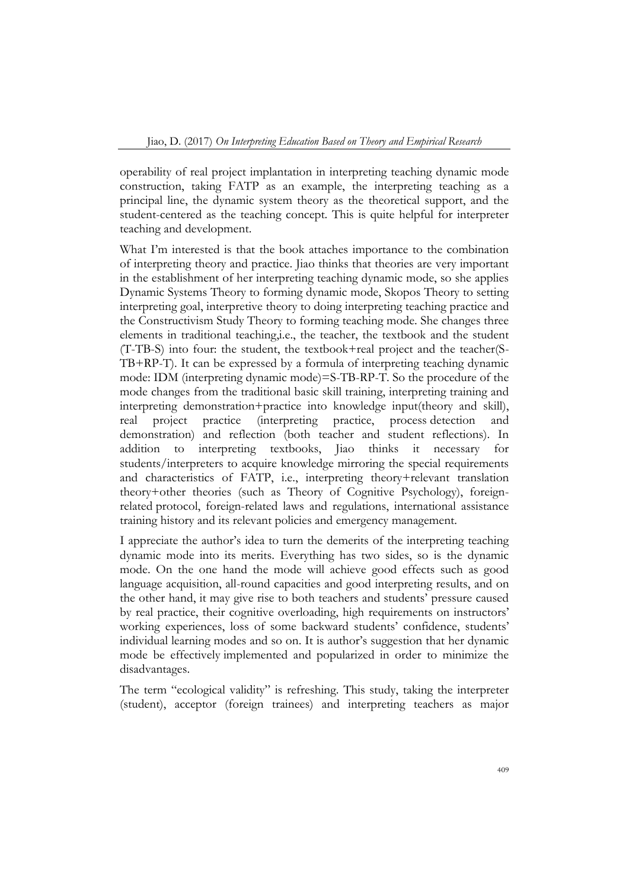operability of real project implantation in interpreting teaching dynamic mode construction, taking FATP as an example, the interpreting teaching as a principal line, the dynamic system theory as the theoretical support, and the student-centered as the teaching concept. This is quite helpful for interpreter teaching and development.

What I'm interested is that the book attaches importance to the combination of interpreting theory and practice. Jiao thinks that theories are very important in the establishment of her interpreting teaching dynamic mode, so she applies Dynamic Systems Theory to forming dynamic mode, Skopos Theory to setting interpreting goal, interpretive theory to doing interpreting teaching practice and the Constructivism Study Theory to forming teaching mode. She changes three elements in traditional teaching,i.e., the teacher, the textbook and the student (T-TB-S) into four: the student, the textbook+real project and the teacher(S-TB+RP-T). It can be expressed by a formula of interpreting teaching dynamic mode: IDM (interpreting dynamic mode)=S-TB-RP-T. So the procedure of the mode changes from the traditional basic skill training, interpreting training and interpreting demonstration+practice into knowledge input(theory and skill), real project practice (interpreting practice, process detection and demonstration) and reflection (both teacher and student reflections). In addition to interpreting textbooks, Jiao thinks it necessary for students/interpreters to acquire knowledge mirroring the special requirements and characteristics of FATP, i.e., interpreting theory+relevant translation theory+other theories (such as Theory of Cognitive Psychology), foreignrelated protocol, foreign-related laws and regulations, international assistance training history and its relevant policies and emergency management.

I appreciate the author's idea to turn the demerits of the interpreting teaching dynamic mode into its merits. Everything has two sides, so is the dynamic mode. On the one hand the mode will achieve good effects such as good language acquisition, all-round capacities and good interpreting results, and on the other hand, it may give rise to both teachers and students' pressure caused by real practice, their cognitive overloading, high requirements on instructors' working experiences, loss of some backward students' confidence, students' individual learning modes and so on. It is author's suggestion that her dynamic mode be effectively implemented and popularized in order to minimize the disadvantages.

The term "ecological validity" is refreshing. This study, taking the interpreter (student), acceptor (foreign trainees) and interpreting teachers as major